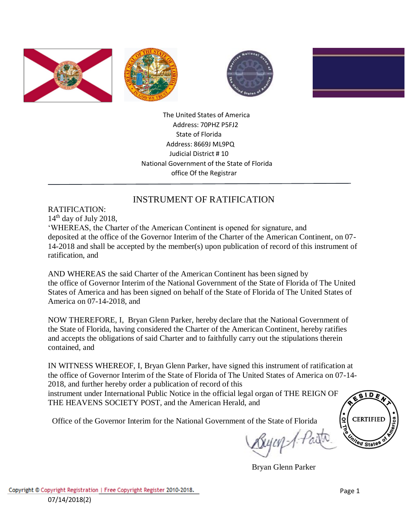







 The United States of America Address: 70PHZ P5FJ2 State of Florida Address: 8669J ML9PQ Judicial District # 10 National Government of the State of Florida office Of the Registrar

## INSTRUMENT OF RATIFICATION

RATIFICATION:  $14<sup>th</sup>$  day of July 2018, 'WHEREAS, the Charter of the American Continent is opened for signature, and deposited at the office of the Governor Interim of the Charter of the American Continent, on 07- 14-2018 and shall be accepted by the member(s) upon publication of record of this instrument of ratification, and

AND WHEREAS the said Charter of the American Continent has been signed by the office of Governor Interim of the National Government of the State of Florida of The United States of America and has been signed on behalf of the State of Florida of The United States of America on 07-14-2018, and

NOW THEREFORE, I, Bryan Glenn Parker, hereby declare that the National Government of the State of Florida, having considered the Charter of the American Continent, hereby ratifies and accepts the obligations of said Charter and to faithfully carry out the stipulations therein contained, and

IN WITNESS WHEREOF, I, Bryan Glenn Parker, have signed this instrument of ratification at the office of Governor Interim of the State of Florida of The United States of America on 07-14- 2018, and further hereby order a publication of record of this instrument under International Public Notice in the official legal organ of THE REIGN OF THE HEAVENS SOCIETY POST, and the American Herald, and

Office of the Governor Interim for the National Government of the State of Florida



Bryan Glenn Parker

ID